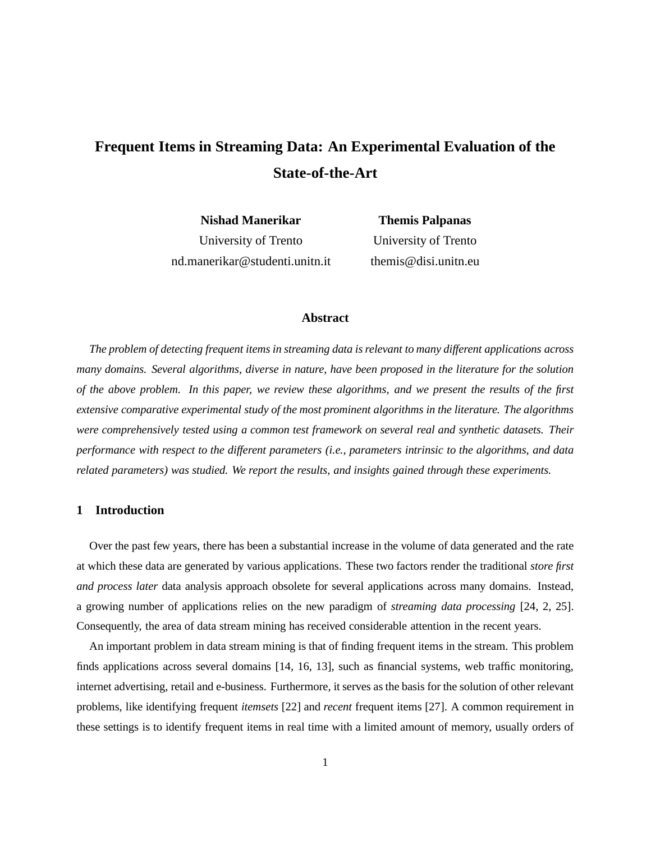# **Frequent Items in Streaming Data: An Experimental Evaluation of the State-of-the-Art**

**Nishad Manerikar** University of Trento nd.manerikar@studenti.unitn.it

**Themis Palpanas** University of Trento themis@disi.unitn.eu

# **Abstract**

*The problem of detecting frequent items in streaming data isrelevant to many different applications across many domains. Several algorithms, diverse in nature, have been proposed in the literature for the solution of the above problem. In this paper, we review these algorithms, and we present the results of the first extensive comparative experimental study of the most prominent algorithms in the literature. The algorithms were comprehensively tested using a common test framework on several real and synthetic datasets. Their performance with respect to the different parameters (i.e., parameters intrinsic to the algorithms, and data related parameters) was studied. We report the results, and insights gained through these experiments.*

# **1 Introduction**

Over the past few years, there has been a substantial increase in the volume of data generated and the rate at which these data are generated by various applications. These two factors render the traditional *store first and process later* data analysis approach obsolete for several applications across many domains. Instead, a growing number of applications relies on the new paradigm of *streaming data processing* [24, 2, 25]. Consequently, the area of data stream mining has received considerable attention in the recent years.

An important problem in data stream mining is that of finding frequent items in the stream. This problem finds applications across several domains [14, 16, 13], such as financial systems, web traffic monitoring, internet advertising, retail and e-business. Furthermore, it serves as the basis for the solution of other relevant problems, like identifying frequent *itemsets* [22] and *recent* frequent items [27]. A common requirement in these settings is to identify frequent items in real time with a limited amount of memory, usually orders of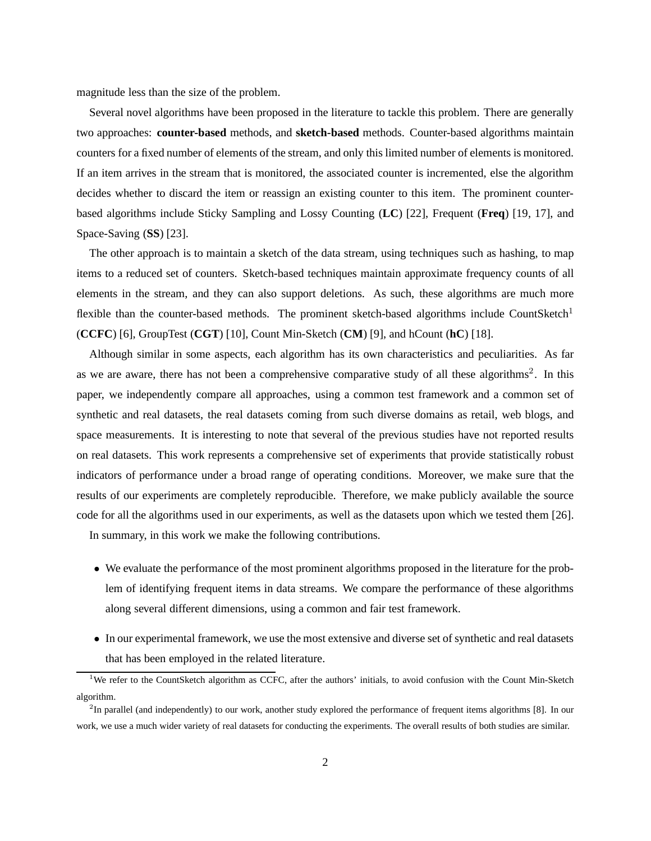magnitude less than the size of the problem.

Several novel algorithms have been proposed in the literature to tackle this problem. There are generally two approaches: **counter-based** methods, and **sketch-based** methods. Counter-based algorithms maintain counters for a fixed number of elements of the stream, and only this limited number of elements is monitored. If an item arrives in the stream that is monitored, the associated counter is incremented, else the algorithm decides whether to discard the item or reassign an existing counter to this item. The prominent counterbased algorithms include Sticky Sampling and Lossy Counting (**LC**) [22], Frequent (**Freq**) [19, 17], and Space-Saving (**SS**) [23].

The other approach is to maintain a sketch of the data stream, using techniques such as hashing, to map items to a reduced set of counters. Sketch-based techniques maintain approximate frequency counts of all elements in the stream, and they can also support deletions. As such, these algorithms are much more flexible than the counter-based methods. The prominent sketch-based algorithms include CountSketch<sup>1</sup> (**CCFC**) [6], GroupTest (**CGT**) [10], Count Min-Sketch (**CM**) [9], and hCount (**hC**) [18].

Although similar in some aspects, each algorithm has its own characteristics and peculiarities. As far as we are aware, there has not been a comprehensive comparative study of all these algorithms<sup>2</sup>. In this paper, we independently compare all approaches, using a common test framework and a common set of synthetic and real datasets, the real datasets coming from such diverse domains as retail, web blogs, and space measurements. It is interesting to note that several of the previous studies have not reported results on real datasets. This work represents a comprehensive set of experiments that provide statistically robust indicators of performance under a broad range of operating conditions. Moreover, we make sure that the results of our experiments are completely reproducible. Therefore, we make publicly available the source code for all the algorithms used in our experiments, as well as the datasets upon which we tested them [26].

In summary, in this work we make the following contributions.

- We evaluate the performance of the most prominent algorithms proposed in the literature for the problem of identifying frequent items in data streams. We compare the performance of these algorithms along several different dimensions, using a common and fair test framework.
- In our experimental framework, we use the most extensive and diverse set of synthetic and real datasets that has been employed in the related literature.

<sup>&</sup>lt;sup>1</sup>We refer to the CountSketch algorithm as CCFC, after the authors' initials, to avoid confusion with the Count Min-Sketch algorithm.

 $2$ In parallel (and independently) to our work, another study explored the performance of frequent items algorithms [8]. In our work, we use a much wider variety of real datasets for conducting the experiments. The overall results of both studies are similar.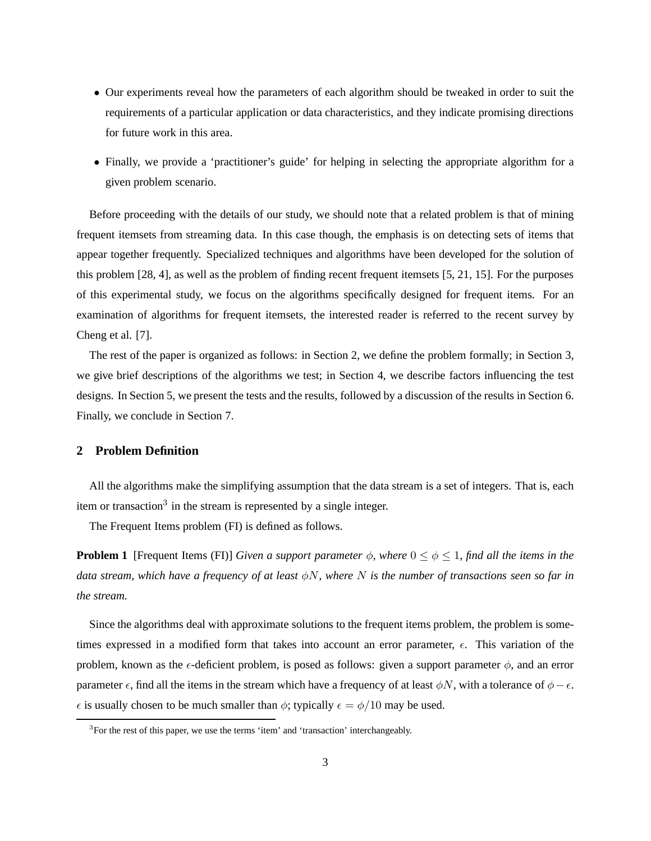- Our experiments reveal how the parameters of each algorithm should be tweaked in order to suit the requirements of a particular application or data characteristics, and they indicate promising directions for future work in this area.
- Finally, we provide a 'practitioner's guide' for helping in selecting the appropriate algorithm for a given problem scenario.

Before proceeding with the details of our study, we should note that a related problem is that of mining frequent itemsets from streaming data. In this case though, the emphasis is on detecting sets of items that appear together frequently. Specialized techniques and algorithms have been developed for the solution of this problem [28, 4], as well as the problem of finding recent frequent itemsets [5, 21, 15]. For the purposes of this experimental study, we focus on the algorithms specifically designed for frequent items. For an examination of algorithms for frequent itemsets, the interested reader is referred to the recent survey by Cheng et al. [7].

The rest of the paper is organized as follows: in Section 2, we define the problem formally; in Section 3, we give brief descriptions of the algorithms we test; in Section 4, we describe factors influencing the test designs. In Section 5, we present the tests and the results, followed by a discussion of the results in Section 6. Finally, we conclude in Section 7.

## **2 Problem Definition**

All the algorithms make the simplifying assumption that the data stream is a set of integers. That is, each item or transaction<sup>3</sup> in the stream is represented by a single integer.

The Frequent Items problem (FI) is defined as follows.

**Problem 1** [Frequent Items (FI)] *Given a support parameter*  $\phi$ *, where*  $0 \le \phi \le 1$ *, find all the items in the data stream, which have a frequency of at least* φN*, where* N *is the number of transactions seen so far in the stream.*

Since the algorithms deal with approximate solutions to the frequent items problem, the problem is sometimes expressed in a modified form that takes into account an error parameter,  $\epsilon$ . This variation of the problem, known as the  $\epsilon$ -deficient problem, is posed as follows: given a support parameter  $\phi$ , and an error parameter  $\epsilon$ , find all the items in the stream which have a frequency of at least  $\phi N$ , with a tolerance of  $\phi - \epsilon$ .  $\epsilon$  is usually chosen to be much smaller than  $\phi$ ; typically  $\epsilon = \phi/10$  may be used.

<sup>&</sup>lt;sup>3</sup>For the rest of this paper, we use the terms 'item' and 'transaction' interchangeably.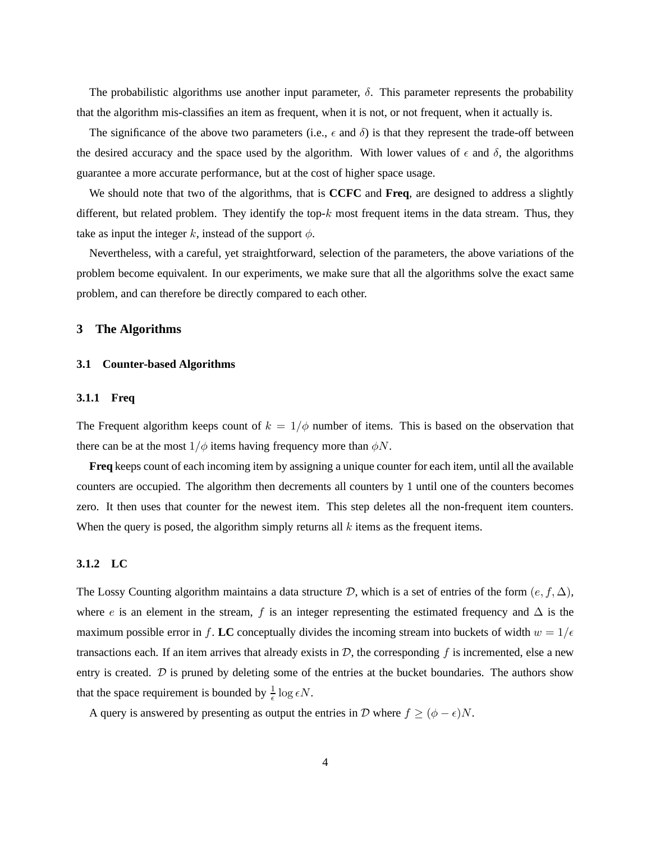The probabilistic algorithms use another input parameter,  $\delta$ . This parameter represents the probability that the algorithm mis-classifies an item as frequent, when it is not, or not frequent, when it actually is.

The significance of the above two parameters (i.e.,  $\epsilon$  and  $\delta$ ) is that they represent the trade-off between the desired accuracy and the space used by the algorithm. With lower values of  $\epsilon$  and  $\delta$ , the algorithms guarantee a more accurate performance, but at the cost of higher space usage.

We should note that two of the algorithms, that is **CCFC** and **Freq**, are designed to address a slightly different, but related problem. They identify the top- $k$  most frequent items in the data stream. Thus, they take as input the integer k, instead of the support  $\phi$ .

Nevertheless, with a careful, yet straightforward, selection of the parameters, the above variations of the problem become equivalent. In our experiments, we make sure that all the algorithms solve the exact same problem, and can therefore be directly compared to each other.

# **3 The Algorithms**

#### **3.1 Counter-based Algorithms**

## **3.1.1 Freq**

The Frequent algorithm keeps count of  $k = 1/\phi$  number of items. This is based on the observation that there can be at the most  $1/\phi$  items having frequency more than  $\phi N$ .

**Freq** keeps count of each incoming item by assigning a unique counter for each item, until all the available counters are occupied. The algorithm then decrements all counters by 1 until one of the counters becomes zero. It then uses that counter for the newest item. This step deletes all the non-frequent item counters. When the query is posed, the algorithm simply returns all  $k$  items as the frequent items.

#### **3.1.2 LC**

The Lossy Counting algorithm maintains a data structure D, which is a set of entries of the form  $(e, f, \Delta)$ , where e is an element in the stream, f is an integer representing the estimated frequency and  $\Delta$  is the maximum possible error in f. LC conceptually divides the incoming stream into buckets of width  $w = 1/\epsilon$ transactions each. If an item arrives that already exists in  $D$ , the corresponding f is incremented, else a new entry is created. D is pruned by deleting some of the entries at the bucket boundaries. The authors show that the space requirement is bounded by  $\frac{1}{\epsilon} \log \epsilon N$ .

A query is answered by presenting as output the entries in D where  $f \ge (\phi - \epsilon)N$ .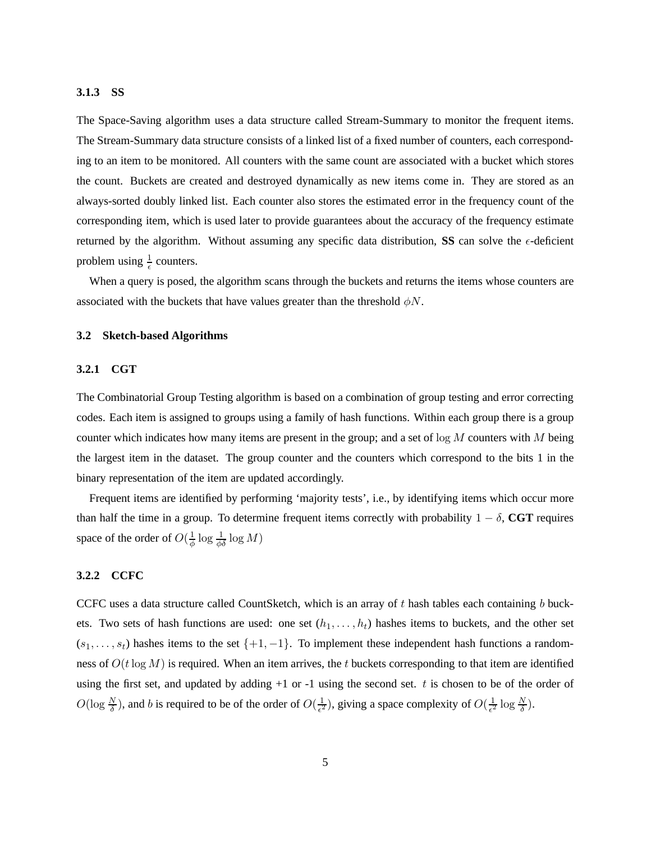#### **3.1.3 SS**

The Space-Saving algorithm uses a data structure called Stream-Summary to monitor the frequent items. The Stream-Summary data structure consists of a linked list of a fixed number of counters, each corresponding to an item to be monitored. All counters with the same count are associated with a bucket which stores the count. Buckets are created and destroyed dynamically as new items come in. They are stored as an always-sorted doubly linked list. Each counter also stores the estimated error in the frequency count of the corresponding item, which is used later to provide guarantees about the accuracy of the frequency estimate returned by the algorithm. Without assuming any specific data distribution, **SS** can solve the  $\epsilon$ -deficient problem using  $\frac{1}{\epsilon}$  counters.

When a query is posed, the algorithm scans through the buckets and returns the items whose counters are associated with the buckets that have values greater than the threshold  $\phi N$ .

## **3.2 Sketch-based Algorithms**

#### **3.2.1 CGT**

The Combinatorial Group Testing algorithm is based on a combination of group testing and error correcting codes. Each item is assigned to groups using a family of hash functions. Within each group there is a group counter which indicates how many items are present in the group; and a set of  $log M$  counters with M being the largest item in the dataset. The group counter and the counters which correspond to the bits 1 in the binary representation of the item are updated accordingly.

Frequent items are identified by performing 'majority tests', i.e., by identifying items which occur more than half the time in a group. To determine frequent items correctly with probability  $1 - \delta$ , **CGT** requires space of the order of  $O(\frac{1}{\phi} \log \frac{1}{\phi \delta} \log M)$ 

## **3.2.2 CCFC**

CCFC uses a data structure called CountSketch, which is an array of  $t$  hash tables each containing  $b$  buckets. Two sets of hash functions are used: one set  $(h_1, \ldots, h_t)$  hashes items to buckets, and the other set  $(s_1, \ldots, s_t)$  hashes items to the set  $\{+1, -1\}$ . To implement these independent hash functions a randomness of  $O(t \log M)$  is required. When an item arrives, the t buckets corresponding to that item are identified using the first set, and updated by adding  $+1$  or  $-1$  using the second set. t is chosen to be of the order of  $O(\log \frac{N}{\delta})$ , and b is required to be of the order of  $O(\frac{1}{\epsilon^2})$  $\frac{1}{\epsilon^2}$ ), giving a space complexity of  $O(\frac{1}{\epsilon^2})$  $\frac{1}{\epsilon^2} \log \frac{N}{\delta}$ ).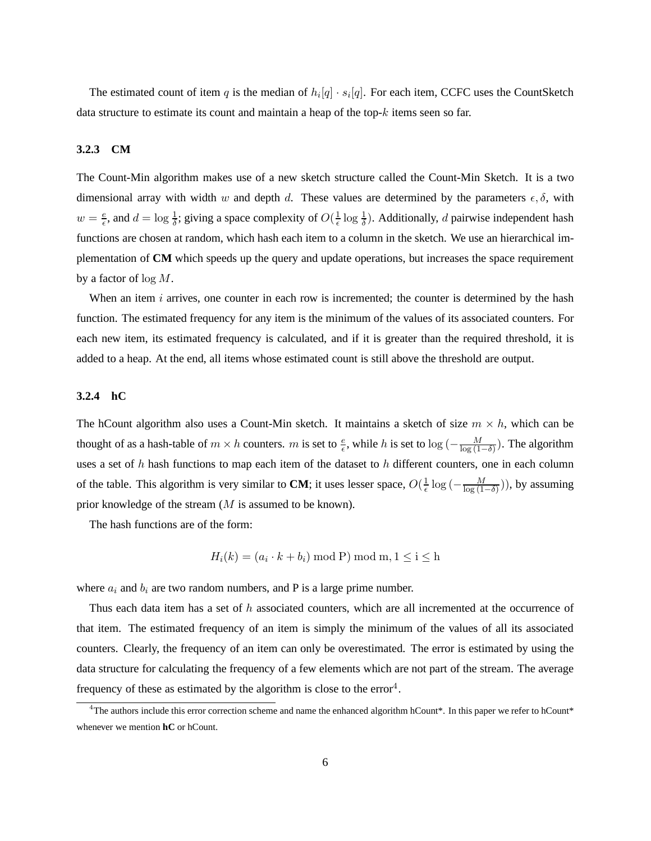The estimated count of item q is the median of  $h_i[q] \cdot s_i[q]$ . For each item, CCFC uses the CountSketch data structure to estimate its count and maintain a heap of the top- $k$  items seen so far.

## **3.2.3 CM**

The Count-Min algorithm makes use of a new sketch structure called the Count-Min Sketch. It is a two dimensional array with width w and depth d. These values are determined by the parameters  $\epsilon, \delta$ , with  $w = \frac{e}{\epsilon}$  $\frac{e}{\epsilon}$ , and  $d = \log \frac{1}{\delta}$ ; giving a space complexity of  $O(\frac{1}{\epsilon} \log \frac{1}{\delta})$ . Additionally, d pairwise independent hash functions are chosen at random, which hash each item to a column in the sketch. We use an hierarchical implementation of **CM** which speeds up the query and update operations, but increases the space requirement by a factor of  $\log M$ .

When an item  $i$  arrives, one counter in each row is incremented; the counter is determined by the hash function. The estimated frequency for any item is the minimum of the values of its associated counters. For each new item, its estimated frequency is calculated, and if it is greater than the required threshold, it is added to a heap. At the end, all items whose estimated count is still above the threshold are output.

## **3.2.4 hC**

The hCount algorithm also uses a Count-Min sketch. It maintains a sketch of size  $m \times h$ , which can be thought of as a hash-table of  $m \times h$  counters. m is set to  $\frac{e}{\epsilon}$ , while h is set to  $\log(-\frac{M}{\log(1-\delta)})$ . The algorithm uses a set of h hash functions to map each item of the dataset to h different counters, one in each column of the table. This algorithm is very similar to **CM**; it uses lesser space,  $O(\frac{1}{\epsilon} \log(-\frac{M}{\log(1-\delta)}))$ , by assuming prior knowledge of the stream (M is assumed to be known).

The hash functions are of the form:

$$
H_i(k) = (a_i \cdot k + b_i) \bmod P \bmod m, 1 \le i \le h
$$

where  $a_i$  and  $b_i$  are two random numbers, and P is a large prime number.

Thus each data item has a set of h associated counters, which are all incremented at the occurrence of that item. The estimated frequency of an item is simply the minimum of the values of all its associated counters. Clearly, the frequency of an item can only be overestimated. The error is estimated by using the data structure for calculating the frequency of a few elements which are not part of the stream. The average frequency of these as estimated by the algorithm is close to the error<sup>4</sup>.

<sup>&</sup>lt;sup>4</sup>The authors include this error correction scheme and name the enhanced algorithm hCount\*. In this paper we refer to hCount\* whenever we mention **hC** or hCount.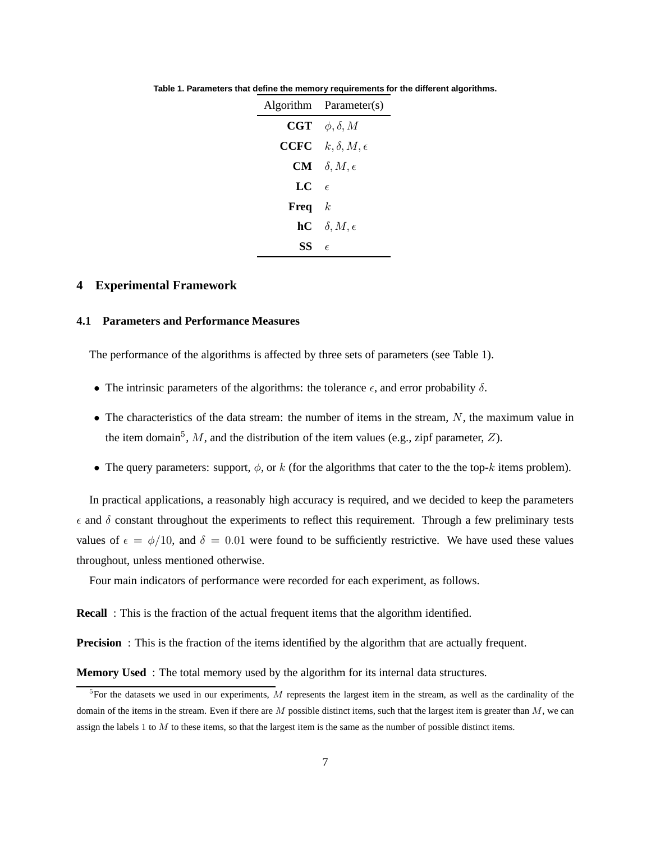|      | Algorithm Parameter(s)                            |
|------|---------------------------------------------------|
| CGT  | $\phi, \delta, M$                                 |
|      | <b>CCFC</b> $k, \delta, M, \epsilon$              |
|      | $CM \quad \delta, M, \epsilon$                    |
| LC   | $\epsilon$                                        |
| Freq | $\mathbf{k}$                                      |
|      | $\mathbf{h} \mathbf{C} \quad \delta, M, \epsilon$ |
| SS   | F                                                 |

**Table 1. Parameters that define the memory requirements for the different algorithms.**

# **4 Experimental Framework**

# **4.1 Parameters and Performance Measures**

The performance of the algorithms is affected by three sets of parameters (see Table 1).

- The intrinsic parameters of the algorithms: the tolerance  $\epsilon$ , and error probability  $\delta$ .
- The characteristics of the data stream: the number of items in the stream,  $N$ , the maximum value in the item domain<sup>5</sup>, M, and the distribution of the item values (e.g., zipf parameter, Z).
- The query parameters: support,  $\phi$ , or k (for the algorithms that cater to the the top-k items problem).

In practical applications, a reasonably high accuracy is required, and we decided to keep the parameters  $\epsilon$  and  $\delta$  constant throughout the experiments to reflect this requirement. Through a few preliminary tests values of  $\epsilon = \phi/10$ , and  $\delta = 0.01$  were found to be sufficiently restrictive. We have used these values throughout, unless mentioned otherwise.

Four main indicators of performance were recorded for each experiment, as follows.

**Recall** : This is the fraction of the actual frequent items that the algorithm identified.

**Precision** : This is the fraction of the items identified by the algorithm that are actually frequent.

**Memory Used** : The total memory used by the algorithm for its internal data structures.

 ${}^{5}$ For the datasets we used in our experiments, M represents the largest item in the stream, as well as the cardinality of the domain of the items in the stream. Even if there are  $M$  possible distinct items, such that the largest item is greater than  $M$ , we can assign the labels 1 to  $M$  to these items, so that the largest item is the same as the number of possible distinct items.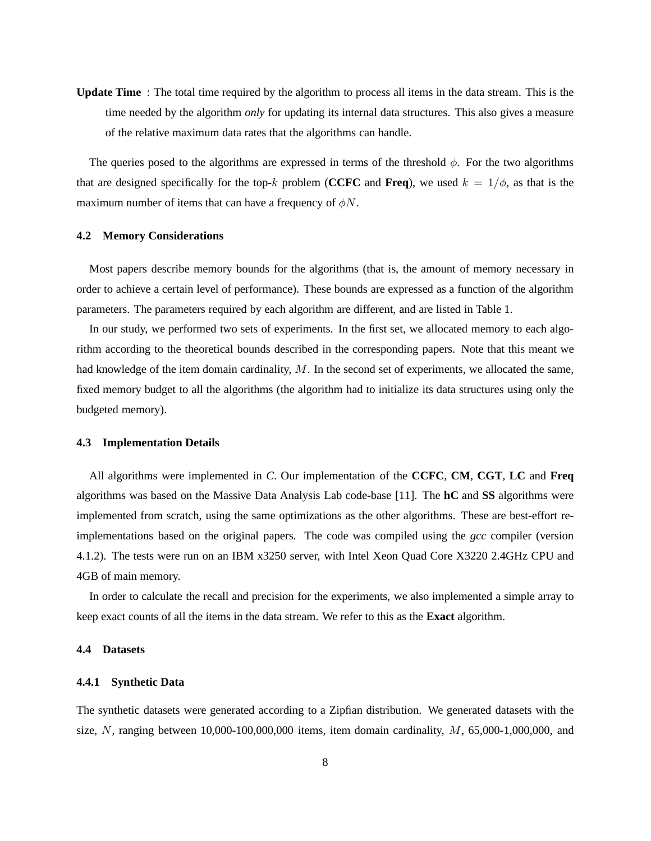**Update Time** : The total time required by the algorithm to process all items in the data stream. This is the time needed by the algorithm *only* for updating its internal data structures. This also gives a measure of the relative maximum data rates that the algorithms can handle.

The queries posed to the algorithms are expressed in terms of the threshold  $\phi$ . For the two algorithms that are designed specifically for the top-k problem (**CCFC** and **Freq**), we used  $k = 1/\phi$ , as that is the maximum number of items that can have a frequency of  $\phi N$ .

## **4.2 Memory Considerations**

Most papers describe memory bounds for the algorithms (that is, the amount of memory necessary in order to achieve a certain level of performance). These bounds are expressed as a function of the algorithm parameters. The parameters required by each algorithm are different, and are listed in Table 1.

In our study, we performed two sets of experiments. In the first set, we allocated memory to each algorithm according to the theoretical bounds described in the corresponding papers. Note that this meant we had knowledge of the item domain cardinality,  $M$ . In the second set of experiments, we allocated the same, fixed memory budget to all the algorithms (the algorithm had to initialize its data structures using only the budgeted memory).

## **4.3 Implementation Details**

All algorithms were implemented in *C*. Our implementation of the **CCFC**, **CM**, **CGT**, **LC** and **Freq** algorithms was based on the Massive Data Analysis Lab code-base [11]. The **hC** and **SS** algorithms were implemented from scratch, using the same optimizations as the other algorithms. These are best-effort reimplementations based on the original papers. The code was compiled using the *gcc* compiler (version 4.1.2). The tests were run on an IBM x3250 server, with Intel Xeon Quad Core X3220 2.4GHz CPU and 4GB of main memory.

In order to calculate the recall and precision for the experiments, we also implemented a simple array to keep exact counts of all the items in the data stream. We refer to this as the **Exact** algorithm.

#### **4.4 Datasets**

#### **4.4.1 Synthetic Data**

The synthetic datasets were generated according to a Zipfian distribution. We generated datasets with the size, N, ranging between  $10,000-100,000,000$  items, item domain cardinality,  $M$ , 65,000-1,000,000, and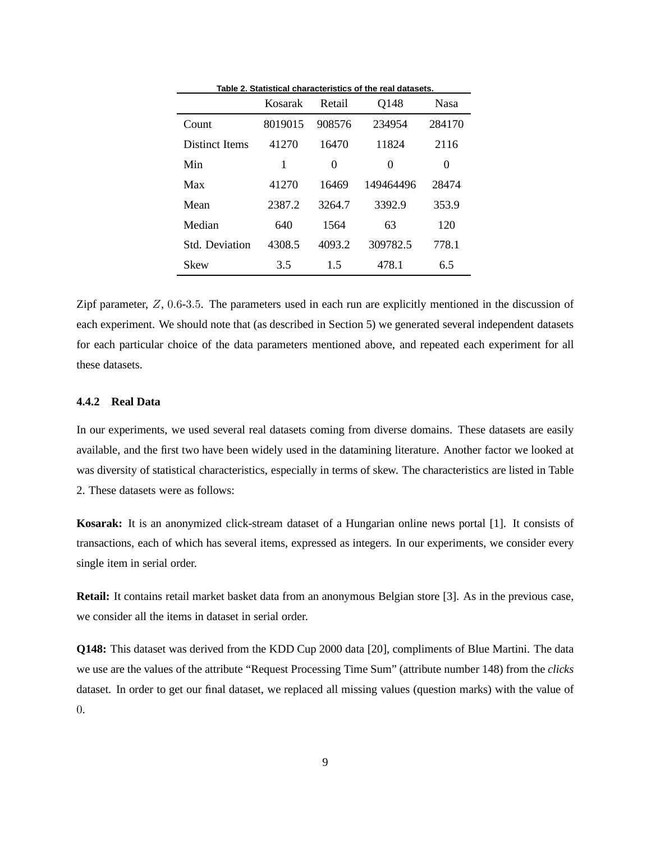|                | Kosarak | Table 2. Oldilətical characteristics or the real datasets.<br>Q148<br>Retail |           | <b>Nasa</b> |
|----------------|---------|------------------------------------------------------------------------------|-----------|-------------|
| Count          | 8019015 | 908576                                                                       | 234954    | 284170      |
| Distinct Items | 41270   | 16470                                                                        | 11824     | 2116        |
| Min            | 1       | $\theta$                                                                     | 0         | $\theta$    |
| Max            | 41270   | 16469                                                                        | 149464496 | 28474       |
| Mean           | 2387.2  | 3264.7                                                                       | 3392.9    | 353.9       |
| Median         | 640     | 1564                                                                         | 63        | 120         |
| Std. Deviation | 4308.5  | 4093.2                                                                       | 309782.5  | 778.1       |
| Skew           | 3.5     | 1.5                                                                          | 478.1     | 6.5         |

**Table 2. Statistical characteristics of the real datasets.**

Zipf parameter,  $Z$ , 0.6-3.5. The parameters used in each run are explicitly mentioned in the discussion of each experiment. We should note that (as described in Section 5) we generated several independent datasets for each particular choice of the data parameters mentioned above, and repeated each experiment for all these datasets.

# **4.4.2 Real Data**

In our experiments, we used several real datasets coming from diverse domains. These datasets are easily available, and the first two have been widely used in the datamining literature. Another factor we looked at was diversity of statistical characteristics, especially in terms of skew. The characteristics are listed in Table 2. These datasets were as follows:

**Kosarak:** It is an anonymized click-stream dataset of a Hungarian online news portal [1]. It consists of transactions, each of which has several items, expressed as integers. In our experiments, we consider every single item in serial order.

**Retail:** It contains retail market basket data from an anonymous Belgian store [3]. As in the previous case, we consider all the items in dataset in serial order.

**Q148:** This dataset was derived from the KDD Cup 2000 data [20], compliments of Blue Martini. The data we use are the values of the attribute "Request Processing Time Sum" (attribute number 148) from the *clicks* dataset. In order to get our final dataset, we replaced all missing values (question marks) with the value of  $\Omega$ .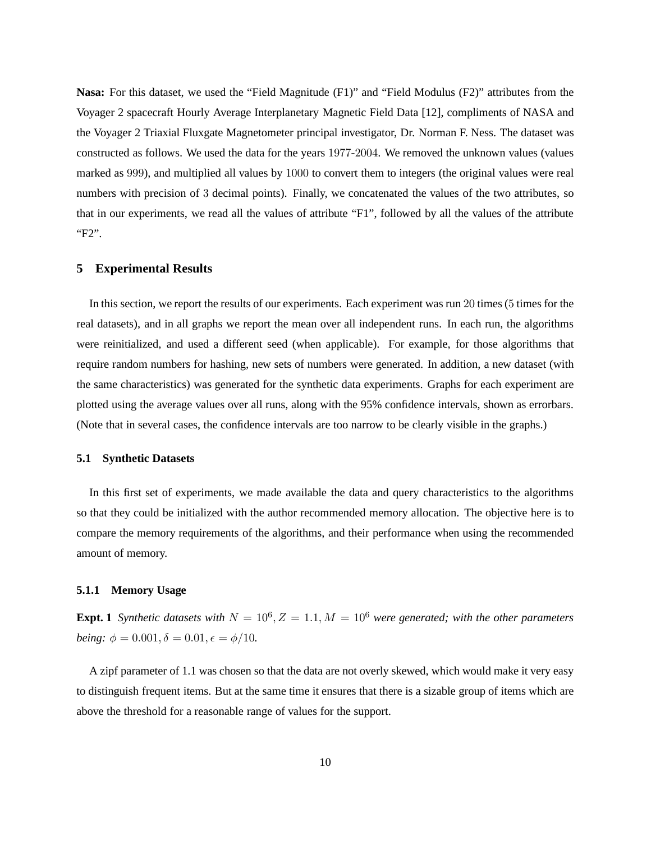**Nasa:** For this dataset, we used the "Field Magnitude (F1)" and "Field Modulus (F2)" attributes from the Voyager 2 spacecraft Hourly Average Interplanetary Magnetic Field Data [12], compliments of NASA and the Voyager 2 Triaxial Fluxgate Magnetometer principal investigator, Dr. Norman F. Ness. The dataset was constructed as follows. We used the data for the years 1977-2004. We removed the unknown values (values marked as 999), and multiplied all values by 1000 to convert them to integers (the original values were real numbers with precision of 3 decimal points). Finally, we concatenated the values of the two attributes, so that in our experiments, we read all the values of attribute "F1", followed by all the values of the attribute "F2".

# **5 Experimental Results**

In this section, we report the results of our experiments. Each experiment was run 20 times (5 times for the real datasets), and in all graphs we report the mean over all independent runs. In each run, the algorithms were reinitialized, and used a different seed (when applicable). For example, for those algorithms that require random numbers for hashing, new sets of numbers were generated. In addition, a new dataset (with the same characteristics) was generated for the synthetic data experiments. Graphs for each experiment are plotted using the average values over all runs, along with the 95% confidence intervals, shown as errorbars. (Note that in several cases, the confidence intervals are too narrow to be clearly visible in the graphs.)

#### **5.1 Synthetic Datasets**

In this first set of experiments, we made available the data and query characteristics to the algorithms so that they could be initialized with the author recommended memory allocation. The objective here is to compare the memory requirements of the algorithms, and their performance when using the recommended amount of memory.

## **5.1.1 Memory Usage**

**Expt. 1** Synthetic datasets with  $N = 10^6$ ,  $Z = 1.1$ ,  $M = 10^6$  were generated; with the other parameters *being:*  $\phi = 0.001, \delta = 0.01, \epsilon = \phi/10$ .

A zipf parameter of 1.1 was chosen so that the data are not overly skewed, which would make it very easy to distinguish frequent items. But at the same time it ensures that there is a sizable group of items which are above the threshold for a reasonable range of values for the support.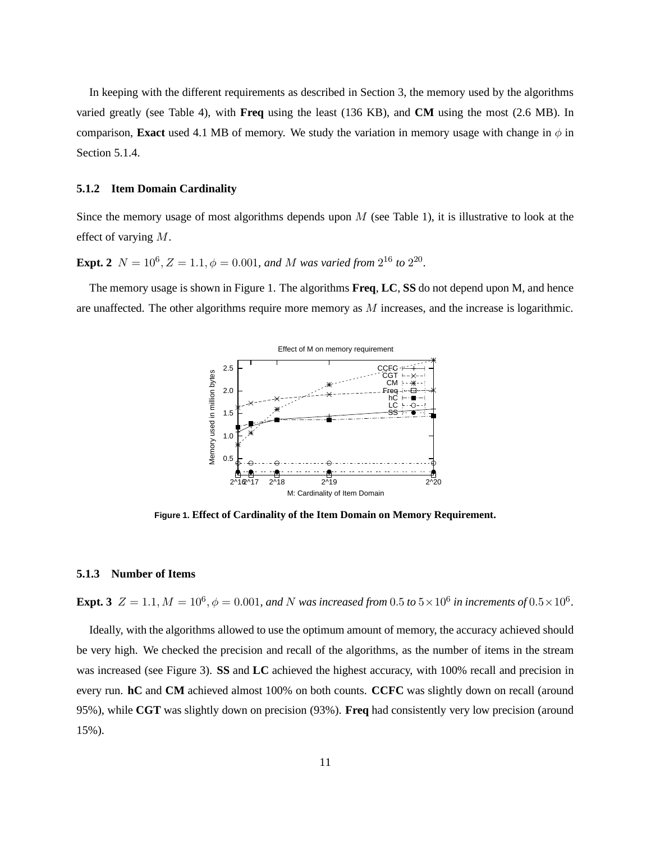In keeping with the different requirements as described in Section 3, the memory used by the algorithms varied greatly (see Table 4), with **Freq** using the least (136 KB), and **CM** using the most (2.6 MB). In comparison, **Exact** used 4.1 MB of memory. We study the variation in memory usage with change in  $\phi$  in Section 5.1.4.

## **5.1.2 Item Domain Cardinality**

Since the memory usage of most algorithms depends upon  $M$  (see Table 1), it is illustrative to look at the effect of varying M.

**Expt. 2**  $N = 10^6$ ,  $Z = 1.1$ ,  $\phi = 0.001$ , and M was varied from  $2^{16}$  to  $2^{20}$ .

The memory usage is shown in Figure 1. The algorithms **Freq**, **LC**, **SS** do not depend upon M, and hence are unaffected. The other algorithms require more memory as  $M$  increases, and the increase is logarithmic.



**Figure 1. Effect of Cardinality of the Item Domain on Memory Requirement.**

#### **5.1.3 Number of Items**

**Expt. 3**  $Z = 1.1, M = 10^6, \phi = 0.001,$  and N was increased from  $0.5$  to  $5 \times 10^6$  in increments of  $0.5 \times 10^6$ .

Ideally, with the algorithms allowed to use the optimum amount of memory, the accuracy achieved should be very high. We checked the precision and recall of the algorithms, as the number of items in the stream was increased (see Figure 3). **SS** and **LC** achieved the highest accuracy, with 100% recall and precision in every run. **hC** and **CM** achieved almost 100% on both counts. **CCFC** was slightly down on recall (around 95%), while **CGT** was slightly down on precision (93%). **Freq** had consistently very low precision (around 15%).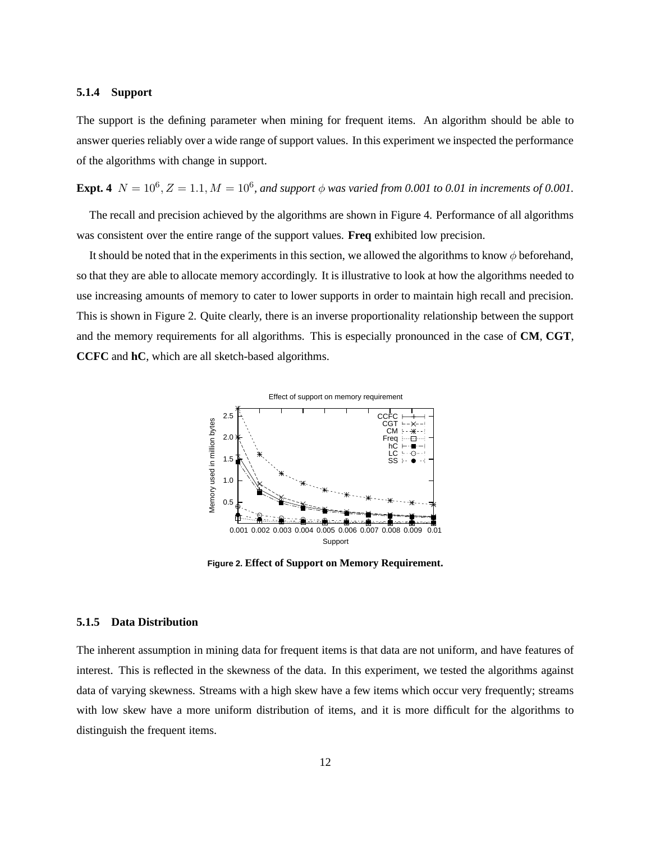## **5.1.4 Support**

The support is the defining parameter when mining for frequent items. An algorithm should be able to answer queries reliably over a wide range of support values. In this experiment we inspected the performance of the algorithms with change in support.

**Expt. 4**  $N = 10^6$ ,  $Z = 1.1$ ,  $M = 10^6$ , and support  $\phi$  was varied from 0.001 to 0.01 in increments of 0.001.

The recall and precision achieved by the algorithms are shown in Figure 4. Performance of all algorithms was consistent over the entire range of the support values. **Freq** exhibited low precision.

It should be noted that in the experiments in this section, we allowed the algorithms to know  $\phi$  beforehand, so that they are able to allocate memory accordingly. It is illustrative to look at how the algorithms needed to use increasing amounts of memory to cater to lower supports in order to maintain high recall and precision. This is shown in Figure 2. Quite clearly, there is an inverse proportionality relationship between the support and the memory requirements for all algorithms. This is especially pronounced in the case of **CM**, **CGT**, **CCFC** and **hC**, which are all sketch-based algorithms.



**Figure 2. Effect of Support on Memory Requirement.**

#### **5.1.5 Data Distribution**

The inherent assumption in mining data for frequent items is that data are not uniform, and have features of interest. This is reflected in the skewness of the data. In this experiment, we tested the algorithms against data of varying skewness. Streams with a high skew have a few items which occur very frequently; streams with low skew have a more uniform distribution of items, and it is more difficult for the algorithms to distinguish the frequent items.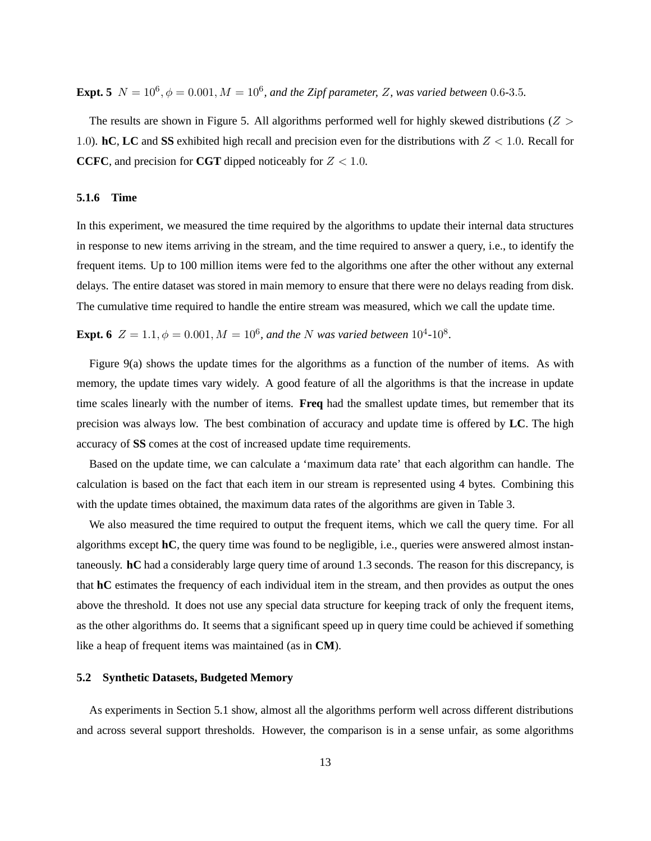**Expt. 5**  $N = 10^6$ ,  $\phi = 0.001$ ,  $M = 10^6$ , and the Zipf parameter, Z, was varied between 0.6-3.5.

The results are shown in Figure 5. All algorithms performed well for highly skewed distributions  $(Z >$ 1.0). **hC**, **LC** and **SS** exhibited high recall and precision even for the distributions with  $Z < 1.0$ . Recall for **CCFC**, and precision for **CGT** dipped noticeably for  $Z < 1.0$ .

# **5.1.6 Time**

In this experiment, we measured the time required by the algorithms to update their internal data structures in response to new items arriving in the stream, and the time required to answer a query, i.e., to identify the frequent items. Up to 100 million items were fed to the algorithms one after the other without any external delays. The entire dataset was stored in main memory to ensure that there were no delays reading from disk. The cumulative time required to handle the entire stream was measured, which we call the update time.

**Expt. 6**  $Z = 1.1, \phi = 0.001, M = 10^6$ , and the N was varied between  $10^4$ - $10^8$ .

Figure 9(a) shows the update times for the algorithms as a function of the number of items. As with memory, the update times vary widely. A good feature of all the algorithms is that the increase in update time scales linearly with the number of items. **Freq** had the smallest update times, but remember that its precision was always low. The best combination of accuracy and update time is offered by **LC**. The high accuracy of **SS** comes at the cost of increased update time requirements.

Based on the update time, we can calculate a 'maximum data rate' that each algorithm can handle. The calculation is based on the fact that each item in our stream is represented using 4 bytes. Combining this with the update times obtained, the maximum data rates of the algorithms are given in Table 3.

We also measured the time required to output the frequent items, which we call the query time. For all algorithms except **hC**, the query time was found to be negligible, i.e., queries were answered almost instantaneously. **hC** had a considerably large query time of around 1.3 seconds. The reason for this discrepancy, is that **hC** estimates the frequency of each individual item in the stream, and then provides as output the ones above the threshold. It does not use any special data structure for keeping track of only the frequent items, as the other algorithms do. It seems that a significant speed up in query time could be achieved if something like a heap of frequent items was maintained (as in **CM**).

## **5.2 Synthetic Datasets, Budgeted Memory**

As experiments in Section 5.1 show, almost all the algorithms perform well across different distributions and across several support thresholds. However, the comparison is in a sense unfair, as some algorithms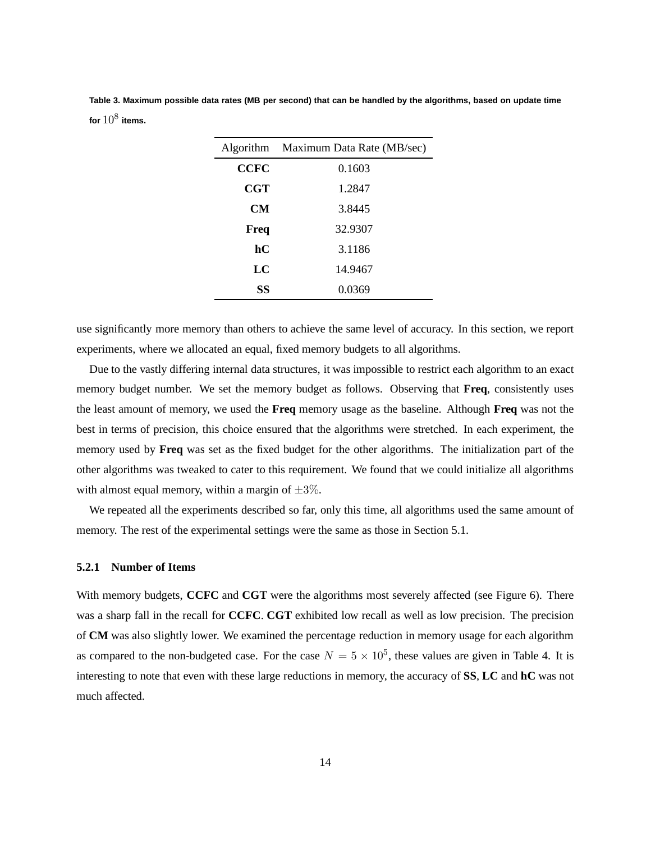**Table 3. Maximum possible data rates (MB per second) that can be handled by the algorithms, based on update time** for  $10^8$  items.

|            | Algorithm Maximum Data Rate (MB/sec) |
|------------|--------------------------------------|
| CCFC       | 0.1603                               |
| <b>CGT</b> | 1.2847                               |
| CМ         | 3.8445                               |
| Freq       | 32.9307                              |
| hС         | 3.1186                               |
| LC         | 14.9467                              |
| SS         | 0.0369                               |

use significantly more memory than others to achieve the same level of accuracy. In this section, we report experiments, where we allocated an equal, fixed memory budgets to all algorithms.

Due to the vastly differing internal data structures, it was impossible to restrict each algorithm to an exact memory budget number. We set the memory budget as follows. Observing that **Freq**, consistently uses the least amount of memory, we used the **Freq** memory usage as the baseline. Although **Freq** was not the best in terms of precision, this choice ensured that the algorithms were stretched. In each experiment, the memory used by **Freq** was set as the fixed budget for the other algorithms. The initialization part of the other algorithms was tweaked to cater to this requirement. We found that we could initialize all algorithms with almost equal memory, within a margin of  $\pm 3\%$ .

We repeated all the experiments described so far, only this time, all algorithms used the same amount of memory. The rest of the experimental settings were the same as those in Section 5.1.

## **5.2.1 Number of Items**

With memory budgets, **CCFC** and **CGT** were the algorithms most severely affected (see Figure 6). There was a sharp fall in the recall for **CCFC**. **CGT** exhibited low recall as well as low precision. The precision of **CM** was also slightly lower. We examined the percentage reduction in memory usage for each algorithm as compared to the non-budgeted case. For the case  $N = 5 \times 10^5$ , these values are given in Table 4. It is interesting to note that even with these large reductions in memory, the accuracy of **SS**, **LC** and **hC** was not much affected.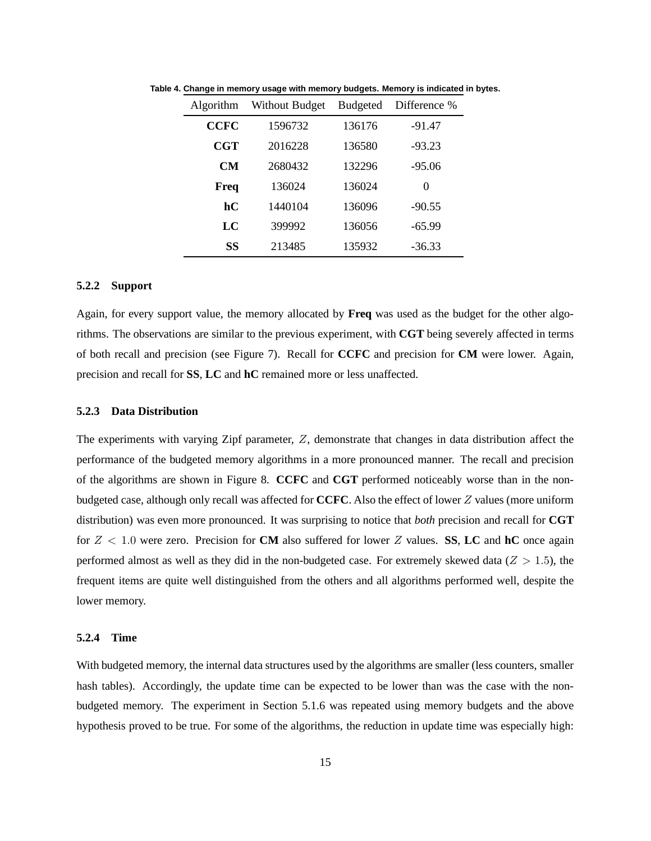| Algorithm   | Without Budget | <b>Budgeted</b> | Difference % |
|-------------|----------------|-----------------|--------------|
| <b>CCFC</b> | 1596732        | 136176          | $-91.47$     |
| CGT         | 2016228        | 136580          | $-93.23$     |
| <b>CM</b>   | 2680432        | 132296          | $-95.06$     |
| Freq        | 136024         | 136024          | 0            |
| hС          | 1440104        | 136096          | $-90.55$     |
| LC          | 399992         | 136056          | $-65.99$     |
| SS          | 213485         | 135932          | $-36.33$     |

**Table 4. Change in memory usage with memory budgets. Memory is indicated in bytes.**

## **5.2.2 Support**

Again, for every support value, the memory allocated by **Freq** was used as the budget for the other algorithms. The observations are similar to the previous experiment, with **CGT** being severely affected in terms of both recall and precision (see Figure 7). Recall for **CCFC** and precision for **CM** were lower. Again, precision and recall for **SS**, **LC** and **hC** remained more or less unaffected.

#### **5.2.3 Data Distribution**

The experiments with varying Zipf parameter, Z, demonstrate that changes in data distribution affect the performance of the budgeted memory algorithms in a more pronounced manner. The recall and precision of the algorithms are shown in Figure 8. **CCFC** and **CGT** performed noticeably worse than in the nonbudgeted case, although only recall was affected for **CCFC**. Also the effect of lower Z values (more uniform distribution) was even more pronounced. It was surprising to notice that *both* precision and recall for **CGT** for Z < 1.0 were zero. Precision for **CM** also suffered for lower Z values. **SS**, **LC** and **hC** once again performed almost as well as they did in the non-budgeted case. For extremely skewed data ( $Z > 1.5$ ), the frequent items are quite well distinguished from the others and all algorithms performed well, despite the lower memory.

# **5.2.4 Time**

With budgeted memory, the internal data structures used by the algorithms are smaller (less counters, smaller hash tables). Accordingly, the update time can be expected to be lower than was the case with the nonbudgeted memory. The experiment in Section 5.1.6 was repeated using memory budgets and the above hypothesis proved to be true. For some of the algorithms, the reduction in update time was especially high: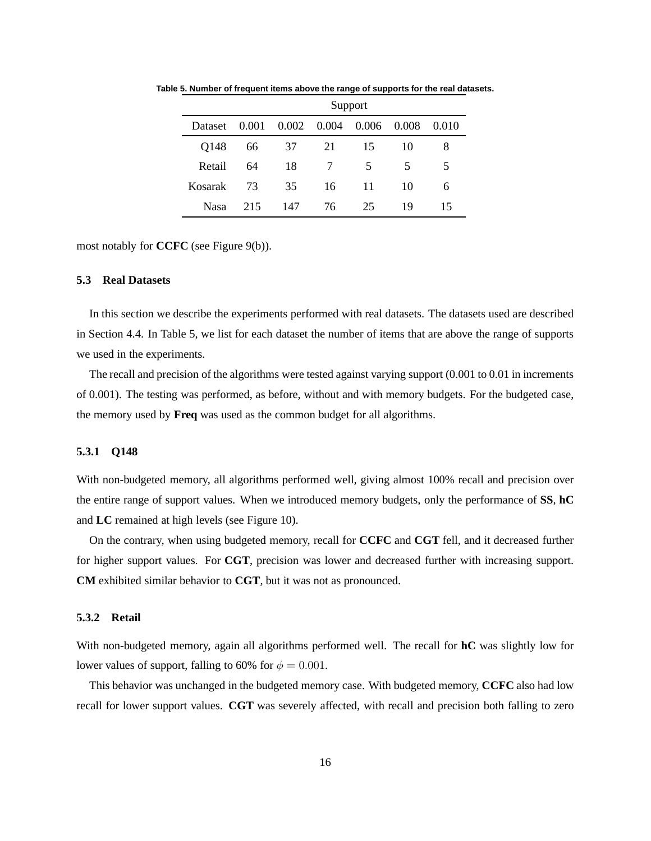|                                       | Support |     |     |    |    |       |
|---------------------------------------|---------|-----|-----|----|----|-------|
| Dataset 0.001 0.002 0.004 0.006 0.008 |         |     |     |    |    | 0.010 |
| Q148                                  | 66      | 37  | 21  | 15 | 10 | x     |
| Retail                                | 64      | 18  | 7   | 5. | 5. | 5     |
| Kosarak                               | 73      | 35  | 16  | 11 | 10 | 6     |
| <b>Nasa</b>                           | 215     | 147 | 76. | 25 | 19 | 15    |

**Table 5. Number of frequent items above the range of supports for the real datasets.**

most notably for **CCFC** (see Figure 9(b)).

## **5.3 Real Datasets**

In this section we describe the experiments performed with real datasets. The datasets used are described in Section 4.4. In Table 5, we list for each dataset the number of items that are above the range of supports we used in the experiments.

The recall and precision of the algorithms were tested against varying support (0.001 to 0.01 in increments of 0.001). The testing was performed, as before, without and with memory budgets. For the budgeted case, the memory used by **Freq** was used as the common budget for all algorithms.

## **5.3.1 Q148**

With non-budgeted memory, all algorithms performed well, giving almost 100% recall and precision over the entire range of support values. When we introduced memory budgets, only the performance of **SS**, **hC** and **LC** remained at high levels (see Figure 10).

On the contrary, when using budgeted memory, recall for **CCFC** and **CGT** fell, and it decreased further for higher support values. For **CGT**, precision was lower and decreased further with increasing support. **CM** exhibited similar behavior to **CGT**, but it was not as pronounced.

#### **5.3.2 Retail**

With non-budgeted memory, again all algorithms performed well. The recall for **hC** was slightly low for lower values of support, falling to 60% for  $\phi = 0.001$ .

This behavior was unchanged in the budgeted memory case. With budgeted memory, **CCFC** also had low recall for lower support values. **CGT** was severely affected, with recall and precision both falling to zero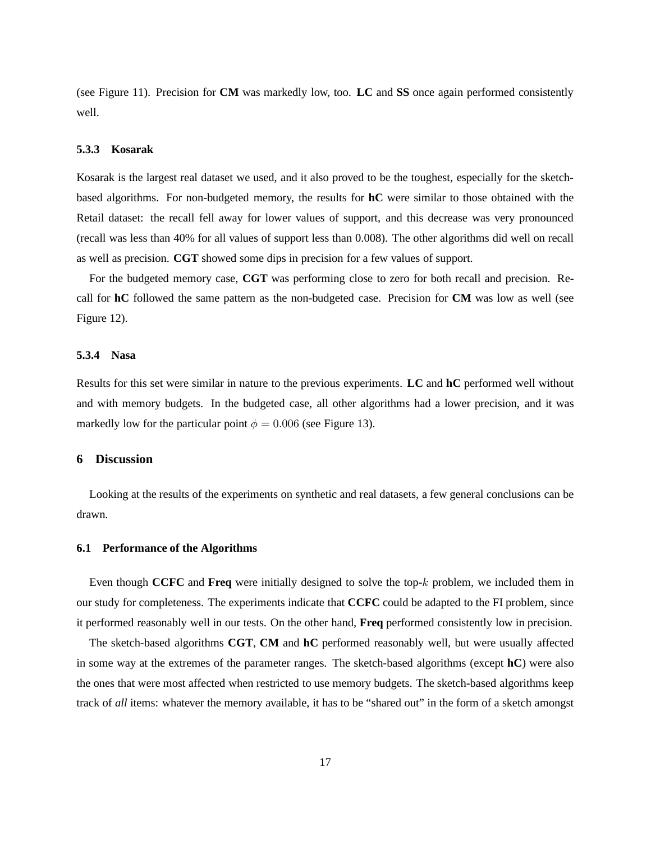(see Figure 11). Precision for **CM** was markedly low, too. **LC** and **SS** once again performed consistently well.

## **5.3.3 Kosarak**

Kosarak is the largest real dataset we used, and it also proved to be the toughest, especially for the sketchbased algorithms. For non-budgeted memory, the results for **hC** were similar to those obtained with the Retail dataset: the recall fell away for lower values of support, and this decrease was very pronounced (recall was less than 40% for all values of support less than 0.008). The other algorithms did well on recall as well as precision. **CGT** showed some dips in precision for a few values of support.

For the budgeted memory case, **CGT** was performing close to zero for both recall and precision. Recall for **hC** followed the same pattern as the non-budgeted case. Precision for **CM** was low as well (see Figure 12).

## **5.3.4 Nasa**

Results for this set were similar in nature to the previous experiments. **LC** and **hC** performed well without and with memory budgets. In the budgeted case, all other algorithms had a lower precision, and it was markedly low for the particular point  $\phi = 0.006$  (see Figure 13).

#### **6 Discussion**

Looking at the results of the experiments on synthetic and real datasets, a few general conclusions can be drawn.

## **6.1 Performance of the Algorithms**

Even though **CCFC** and **Freq** were initially designed to solve the top-k problem, we included them in our study for completeness. The experiments indicate that **CCFC** could be adapted to the FI problem, since it performed reasonably well in our tests. On the other hand, **Freq** performed consistently low in precision.

The sketch-based algorithms **CGT**, **CM** and **hC** performed reasonably well, but were usually affected in some way at the extremes of the parameter ranges. The sketch-based algorithms (except **hC**) were also the ones that were most affected when restricted to use memory budgets. The sketch-based algorithms keep track of *all* items: whatever the memory available, it has to be "shared out" in the form of a sketch amongst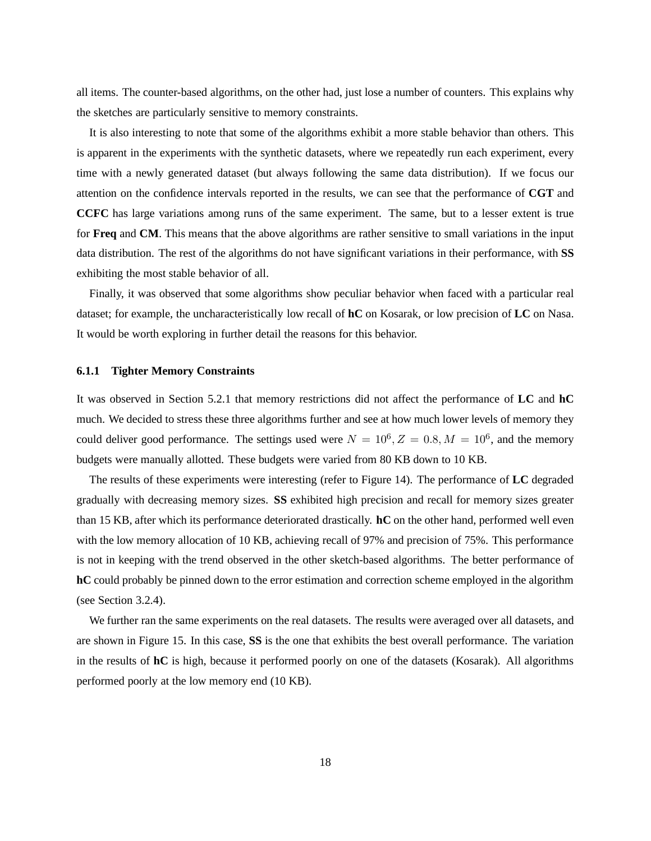all items. The counter-based algorithms, on the other had, just lose a number of counters. This explains why the sketches are particularly sensitive to memory constraints.

It is also interesting to note that some of the algorithms exhibit a more stable behavior than others. This is apparent in the experiments with the synthetic datasets, where we repeatedly run each experiment, every time with a newly generated dataset (but always following the same data distribution). If we focus our attention on the confidence intervals reported in the results, we can see that the performance of **CGT** and **CCFC** has large variations among runs of the same experiment. The same, but to a lesser extent is true for **Freq** and **CM**. This means that the above algorithms are rather sensitive to small variations in the input data distribution. The rest of the algorithms do not have significant variations in their performance, with **SS** exhibiting the most stable behavior of all.

Finally, it was observed that some algorithms show peculiar behavior when faced with a particular real dataset; for example, the uncharacteristically low recall of **hC** on Kosarak, or low precision of **LC** on Nasa. It would be worth exploring in further detail the reasons for this behavior.

## **6.1.1 Tighter Memory Constraints**

It was observed in Section 5.2.1 that memory restrictions did not affect the performance of **LC** and **hC** much. We decided to stress these three algorithms further and see at how much lower levels of memory they could deliver good performance. The settings used were  $N = 10^6, Z = 0.8, M = 10^6$ , and the memory budgets were manually allotted. These budgets were varied from 80 KB down to 10 KB.

The results of these experiments were interesting (refer to Figure 14). The performance of **LC** degraded gradually with decreasing memory sizes. **SS** exhibited high precision and recall for memory sizes greater than 15 KB, after which its performance deteriorated drastically. **hC** on the other hand, performed well even with the low memory allocation of 10 KB, achieving recall of 97% and precision of 75%. This performance is not in keeping with the trend observed in the other sketch-based algorithms. The better performance of **hC** could probably be pinned down to the error estimation and correction scheme employed in the algorithm (see Section 3.2.4).

We further ran the same experiments on the real datasets. The results were averaged over all datasets, and are shown in Figure 15. In this case, **SS** is the one that exhibits the best overall performance. The variation in the results of **hC** is high, because it performed poorly on one of the datasets (Kosarak). All algorithms performed poorly at the low memory end (10 KB).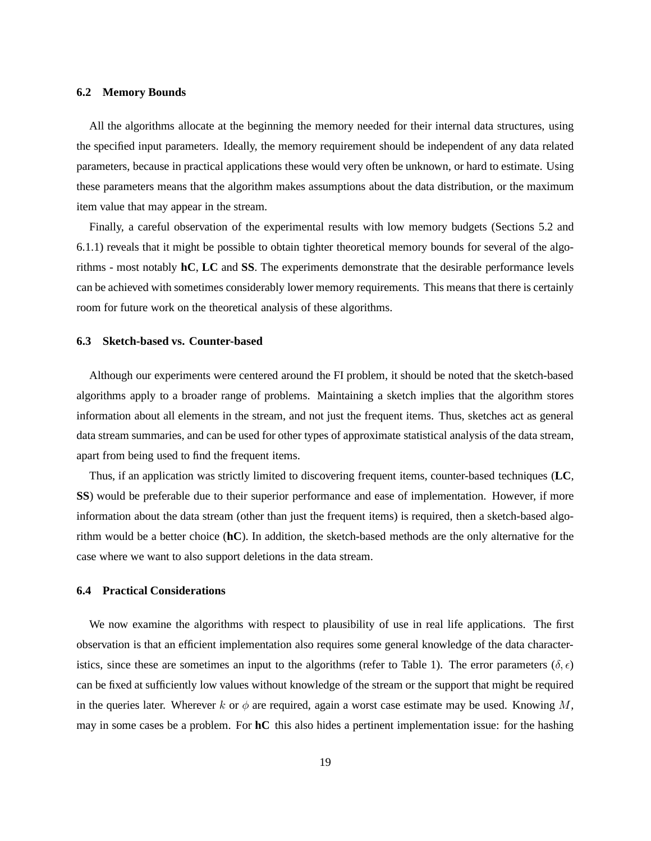## **6.2 Memory Bounds**

All the algorithms allocate at the beginning the memory needed for their internal data structures, using the specified input parameters. Ideally, the memory requirement should be independent of any data related parameters, because in practical applications these would very often be unknown, or hard to estimate. Using these parameters means that the algorithm makes assumptions about the data distribution, or the maximum item value that may appear in the stream.

Finally, a careful observation of the experimental results with low memory budgets (Sections 5.2 and 6.1.1) reveals that it might be possible to obtain tighter theoretical memory bounds for several of the algorithms - most notably **hC**, **LC** and **SS**. The experiments demonstrate that the desirable performance levels can be achieved with sometimes considerably lower memory requirements. This means that there is certainly room for future work on the theoretical analysis of these algorithms.

## **6.3 Sketch-based vs. Counter-based**

Although our experiments were centered around the FI problem, it should be noted that the sketch-based algorithms apply to a broader range of problems. Maintaining a sketch implies that the algorithm stores information about all elements in the stream, and not just the frequent items. Thus, sketches act as general data stream summaries, and can be used for other types of approximate statistical analysis of the data stream, apart from being used to find the frequent items.

Thus, if an application was strictly limited to discovering frequent items, counter-based techniques (**LC**, **SS**) would be preferable due to their superior performance and ease of implementation. However, if more information about the data stream (other than just the frequent items) is required, then a sketch-based algorithm would be a better choice (**hC**). In addition, the sketch-based methods are the only alternative for the case where we want to also support deletions in the data stream.

# **6.4 Practical Considerations**

We now examine the algorithms with respect to plausibility of use in real life applications. The first observation is that an efficient implementation also requires some general knowledge of the data characteristics, since these are sometimes an input to the algorithms (refer to Table 1). The error parameters ( $\delta, \epsilon$ ) can be fixed at sufficiently low values without knowledge of the stream or the support that might be required in the queries later. Wherever k or  $\phi$  are required, again a worst case estimate may be used. Knowing M, may in some cases be a problem. For **hC** this also hides a pertinent implementation issue: for the hashing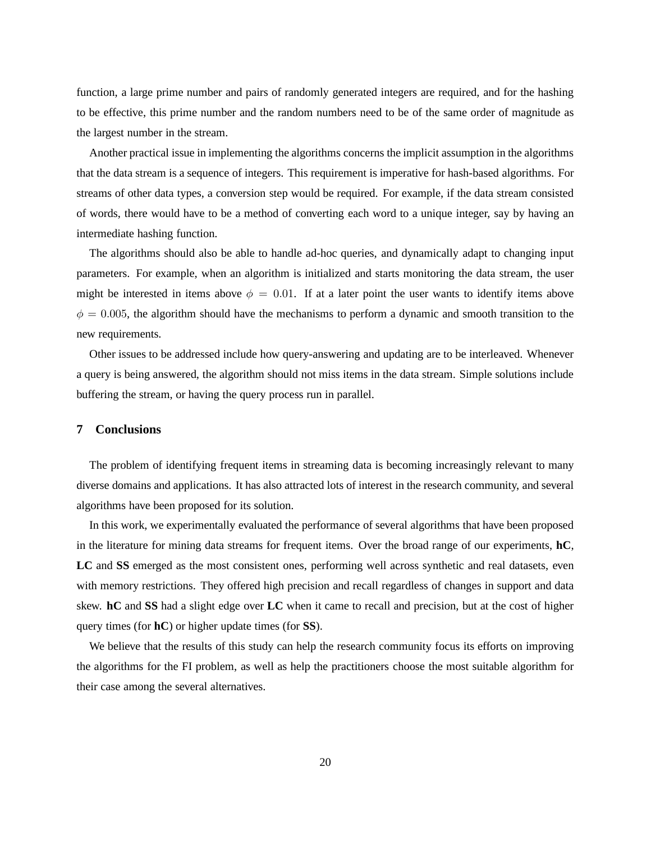function, a large prime number and pairs of randomly generated integers are required, and for the hashing to be effective, this prime number and the random numbers need to be of the same order of magnitude as the largest number in the stream.

Another practical issue in implementing the algorithms concerns the implicit assumption in the algorithms that the data stream is a sequence of integers. This requirement is imperative for hash-based algorithms. For streams of other data types, a conversion step would be required. For example, if the data stream consisted of words, there would have to be a method of converting each word to a unique integer, say by having an intermediate hashing function.

The algorithms should also be able to handle ad-hoc queries, and dynamically adapt to changing input parameters. For example, when an algorithm is initialized and starts monitoring the data stream, the user might be interested in items above  $\phi = 0.01$ . If at a later point the user wants to identify items above  $\phi = 0.005$ , the algorithm should have the mechanisms to perform a dynamic and smooth transition to the new requirements.

Other issues to be addressed include how query-answering and updating are to be interleaved. Whenever a query is being answered, the algorithm should not miss items in the data stream. Simple solutions include buffering the stream, or having the query process run in parallel.

# **7 Conclusions**

The problem of identifying frequent items in streaming data is becoming increasingly relevant to many diverse domains and applications. It has also attracted lots of interest in the research community, and several algorithms have been proposed for its solution.

In this work, we experimentally evaluated the performance of several algorithms that have been proposed in the literature for mining data streams for frequent items. Over the broad range of our experiments, **hC**, **LC** and **SS** emerged as the most consistent ones, performing well across synthetic and real datasets, even with memory restrictions. They offered high precision and recall regardless of changes in support and data skew. **hC** and **SS** had a slight edge over **LC** when it came to recall and precision, but at the cost of higher query times (for **hC**) or higher update times (for **SS**).

We believe that the results of this study can help the research community focus its efforts on improving the algorithms for the FI problem, as well as help the practitioners choose the most suitable algorithm for their case among the several alternatives.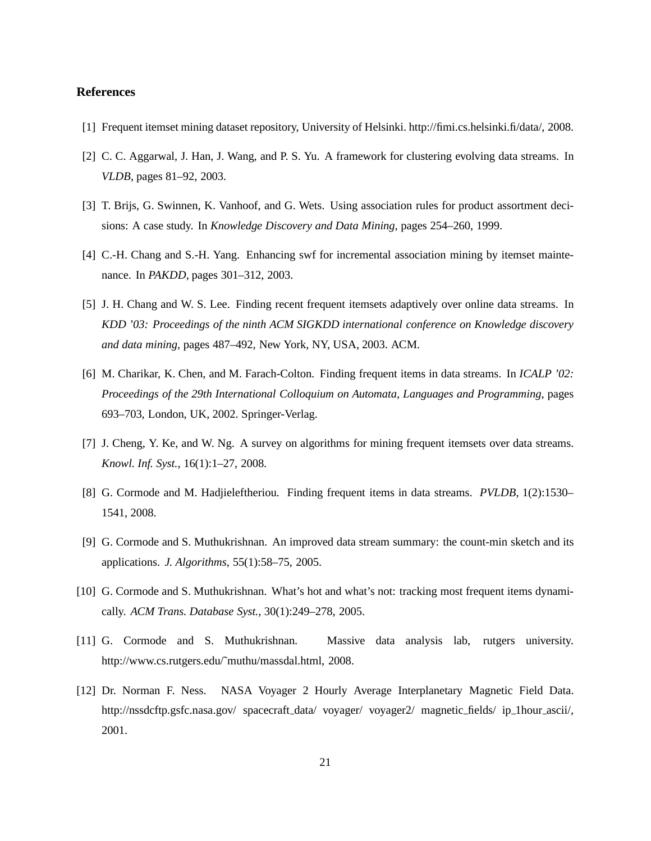## **References**

- [1] Frequent itemset mining dataset repository, University of Helsinki. http://fimi.cs.helsinki.fi/data/, 2008.
- [2] C. C. Aggarwal, J. Han, J. Wang, and P. S. Yu. A framework for clustering evolving data streams. In *VLDB*, pages 81–92, 2003.
- [3] T. Brijs, G. Swinnen, K. Vanhoof, and G. Wets. Using association rules for product assortment deci-sions: A case study. In *Knowledge Discovery and Data Mining*, pages 254–260, 1999.
- [4] C.-H. Chang and S.-H. Yang. Enhancing swf for incremental association mining by itemset maintenance. In *PAKDD*, pages 301–312, 2003.
- [5] J. H. Chang and W. S. Lee. Finding recent frequent itemsets adaptively over online data streams. In *KDD '03: Proceedings of the ninth ACM SIGKDD international conference on Knowledge discovery and data mining*, pages 487–492, New York, NY, USA, 2003. ACM.
- [6] M. Charikar, K. Chen, and M. Farach-Colton. Finding frequent items in data streams. In *ICALP '02: Proceedings of the 29th International Colloquium on Automata, Languages and Programming*, pages 693–703, London, UK, 2002. Springer-Verlag.
- [7] J. Cheng, Y. Ke, and W. Ng. A survey on algorithms for mining frequent itemsets over data streams. *Knowl. Inf. Syst.*, 16(1):1–27, 2008.
- [8] G. Cormode and M. Hadjieleftheriou. Finding frequent items in data streams. *PVLDB*, 1(2):1530– 1541, 2008.
- [9] G. Cormode and S. Muthukrishnan. An improved data stream summary: the count-min sketch and its applications. *J. Algorithms*, 55(1):58–75, 2005.
- [10] G. Cormode and S. Muthukrishnan. What's hot and what's not: tracking most frequent items dynamically. *ACM Trans. Database Syst.*, 30(1):249–278, 2005.
- [11] G. Cormode and S. Muthukrishnan. Massive data analysis lab, rutgers university. http://www.cs.rutgers.edu/˜muthu/massdal.html, 2008.
- [12] Dr. Norman F. Ness. NASA Voyager 2 Hourly Average Interplanetary Magnetic Field Data. http://nssdcftp.gsfc.nasa.gov/ spacecraft\_data/ voyager/ voyager2/ magnetic\_fields/ ip\_1hour\_ascii/, 2001.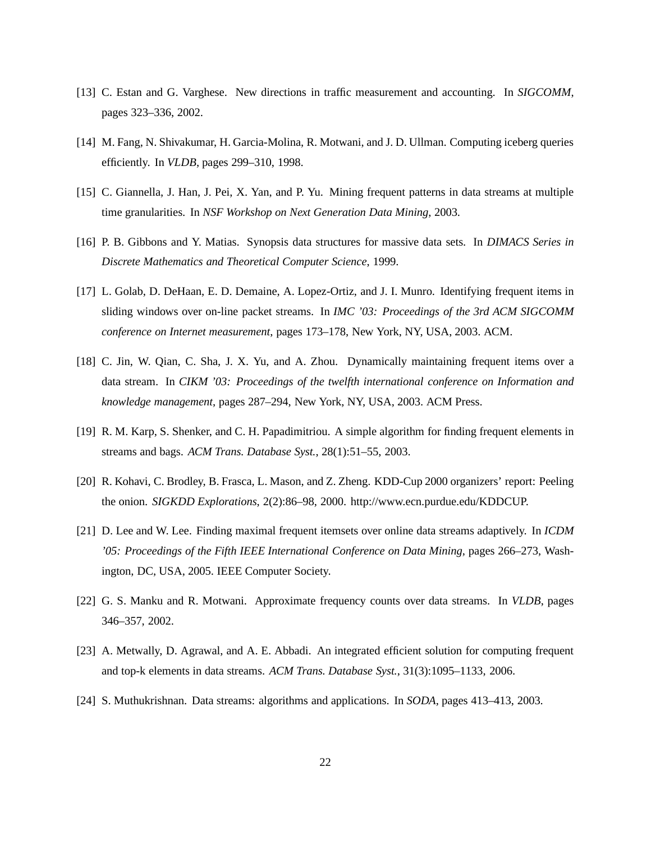- [13] C. Estan and G. Varghese. New directions in traffic measurement and accounting. In *SIGCOMM*, pages 323–336, 2002.
- [14] M. Fang, N. Shivakumar, H. Garcia-Molina, R. Motwani, and J. D. Ullman. Computing iceberg queries efficiently. In *VLDB*, pages 299–310, 1998.
- [15] C. Giannella, J. Han, J. Pei, X. Yan, and P. Yu. Mining frequent patterns in data streams at multiple time granularities. In *NSF Workshop on Next Generation Data Mining*, 2003.
- [16] P. B. Gibbons and Y. Matias. Synopsis data structures for massive data sets. In *DIMACS Series in Discrete Mathematics and Theoretical Computer Science*, 1999.
- [17] L. Golab, D. DeHaan, E. D. Demaine, A. Lopez-Ortiz, and J. I. Munro. Identifying frequent items in sliding windows over on-line packet streams. In *IMC '03: Proceedings of the 3rd ACM SIGCOMM conference on Internet measurement*, pages 173–178, New York, NY, USA, 2003. ACM.
- [18] C. Jin, W. Qian, C. Sha, J. X. Yu, and A. Zhou. Dynamically maintaining frequent items over a data stream. In *CIKM '03: Proceedings of the twelfth international conference on Information and knowledge management*, pages 287–294, New York, NY, USA, 2003. ACM Press.
- [19] R. M. Karp, S. Shenker, and C. H. Papadimitriou. A simple algorithm for finding frequent elements in streams and bags. *ACM Trans. Database Syst.*, 28(1):51–55, 2003.
- [20] R. Kohavi, C. Brodley, B. Frasca, L. Mason, and Z. Zheng. KDD-Cup 2000 organizers' report: Peeling the onion. *SIGKDD Explorations*, 2(2):86–98, 2000. http://www.ecn.purdue.edu/KDDCUP.
- [21] D. Lee and W. Lee. Finding maximal frequent itemsets over online data streams adaptively. In *ICDM '05: Proceedings of the Fifth IEEE International Conference on Data Mining*, pages 266–273, Washington, DC, USA, 2005. IEEE Computer Society.
- [22] G. S. Manku and R. Motwani. Approximate frequency counts over data streams. In *VLDB*, pages 346–357, 2002.
- [23] A. Metwally, D. Agrawal, and A. E. Abbadi. An integrated efficient solution for computing frequent and top-k elements in data streams. *ACM Trans. Database Syst.*, 31(3):1095–1133, 2006.
- [24] S. Muthukrishnan. Data streams: algorithms and applications. In *SODA*, pages 413–413, 2003.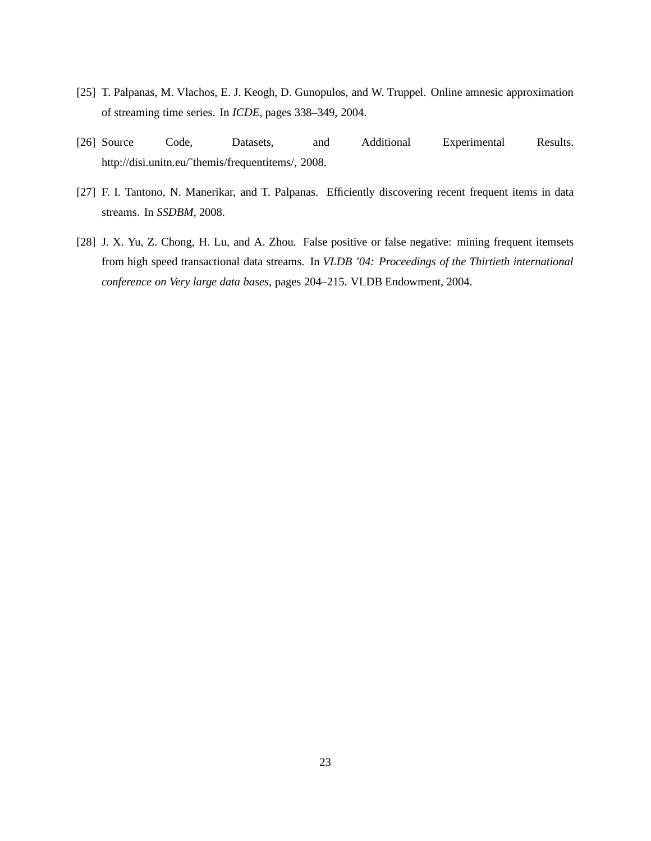- [25] T. Palpanas, M. Vlachos, E. J. Keogh, D. Gunopulos, and W. Truppel. Online amnesic approximation of streaming time series. In *ICDE*, pages 338–349, 2004.
- [26] Source Code, Datasets, and Additional Experimental Results. http://disi.unitn.eu/˜themis/frequentitems/, 2008.
- [27] F. I. Tantono, N. Manerikar, and T. Palpanas. Efficiently discovering recent frequent items in data streams. In *SSDBM*, 2008.
- [28] J. X. Yu, Z. Chong, H. Lu, and A. Zhou. False positive or false negative: mining frequent itemsets from high speed transactional data streams. In *VLDB '04: Proceedings of the Thirtieth international conference on Very large data bases*, pages 204–215. VLDB Endowment, 2004.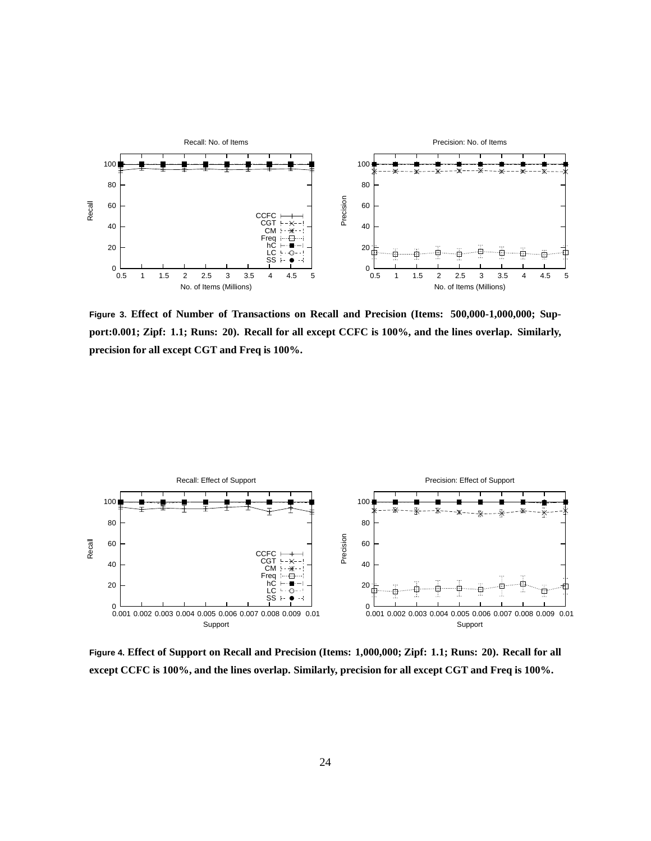

**Figure 3. Effect of Number of Transactions on Recall and Precision (Items: 500,000-1,000,000; Support:0.001; Zipf: 1.1; Runs: 20). Recall for all except CCFC is 100%, and the lines overlap. Similarly, precision for all except CGT and Freq is 100%.**



**Figure 4. Effect of Support on Recall and Precision (Items: 1,000,000; Zipf: 1.1; Runs: 20). Recall for all except CCFC is 100%, and the lines overlap. Similarly, precision for all except CGT and Freq is 100%.**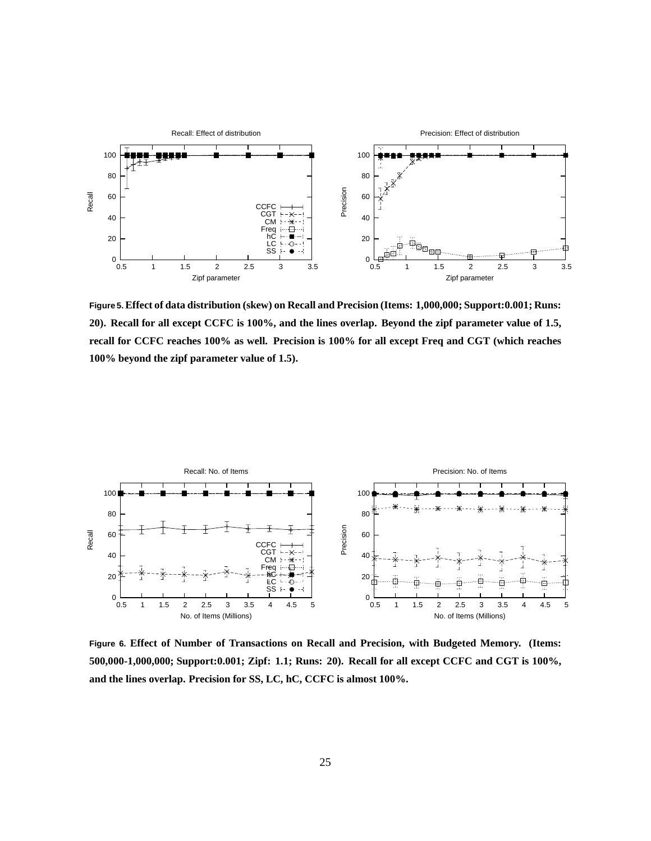

**Figure 5.Effect of data distribution (skew) on Recall and Precision (Items: 1,000,000; Support:0.001; Runs: 20). Recall for all except CCFC is 100%, and the lines overlap. Beyond the zipf parameter value of 1.5, recall for CCFC reaches 100% as well. Precision is 100% for all except Freq and CGT (which reaches 100% beyond the zipf parameter value of 1.5).**



**Figure 6. Effect of Number of Transactions on Recall and Precision, with Budgeted Memory. (Items: 500,000-1,000,000; Support:0.001; Zipf: 1.1; Runs: 20). Recall for all except CCFC and CGT is 100%, and the lines overlap. Precision for SS, LC, hC, CCFC is almost 100%.**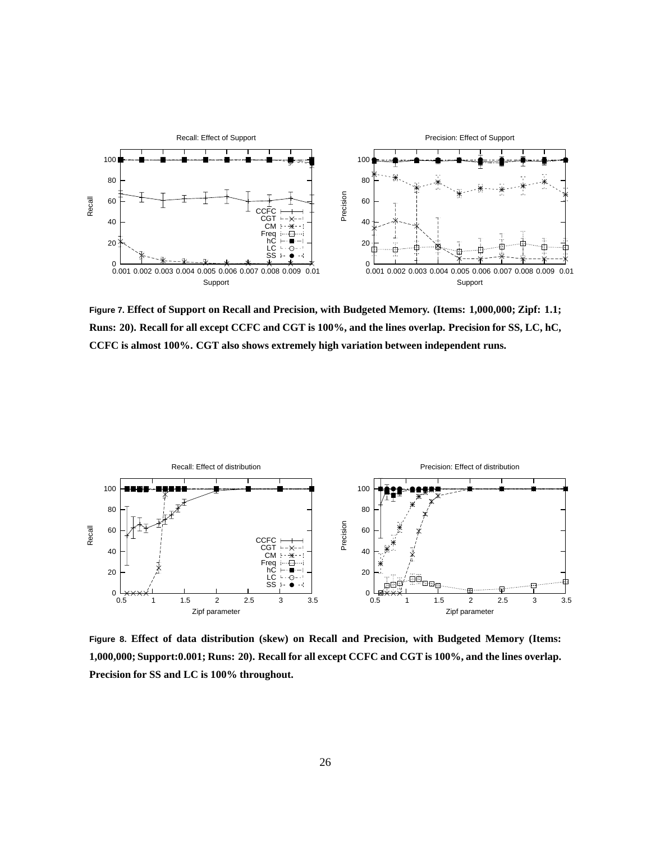

**Figure 7. Effect of Support on Recall and Precision, with Budgeted Memory. (Items: 1,000,000; Zipf: 1.1; Runs: 20). Recall for all except CCFC and CGT is 100%, and the lines overlap. Precision for SS, LC, hC, CCFC is almost 100%. CGT also shows extremely high variation between independent runs.**



**Figure 8. Effect of data distribution (skew) on Recall and Precision, with Budgeted Memory (Items: 1,000,000; Support:0.001; Runs: 20). Recall for all except CCFC and CGT is 100%, and the lines overlap. Precision for SS and LC is 100% throughout.**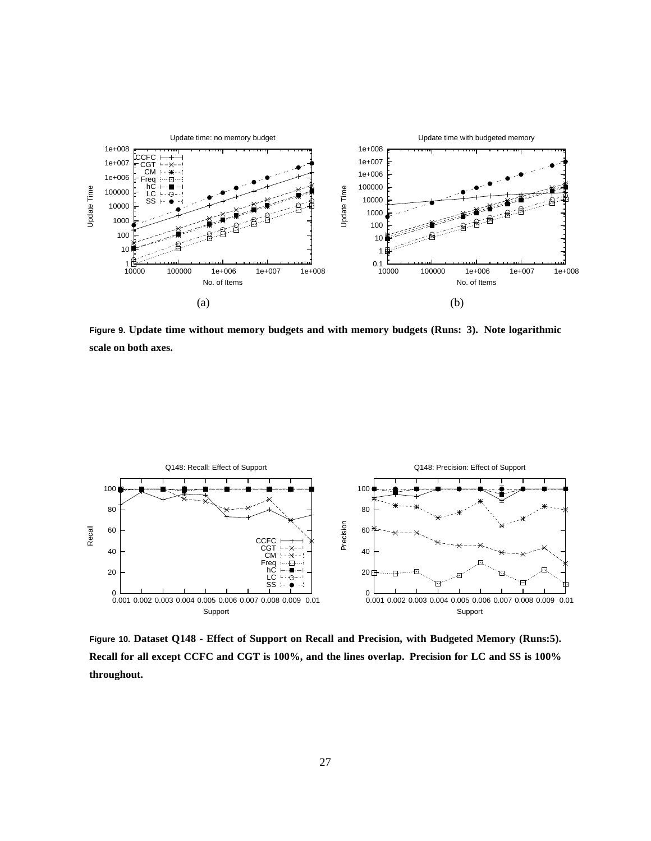

**Figure 9. Update time without memory budgets and with memory budgets (Runs: 3). Note logarithmic scale on both axes.**



**Figure 10. Dataset Q148 - Effect of Support on Recall and Precision, with Budgeted Memory (Runs:5). Recall for all except CCFC and CGT is 100%, and the lines overlap. Precision for LC and SS is 100% throughout.**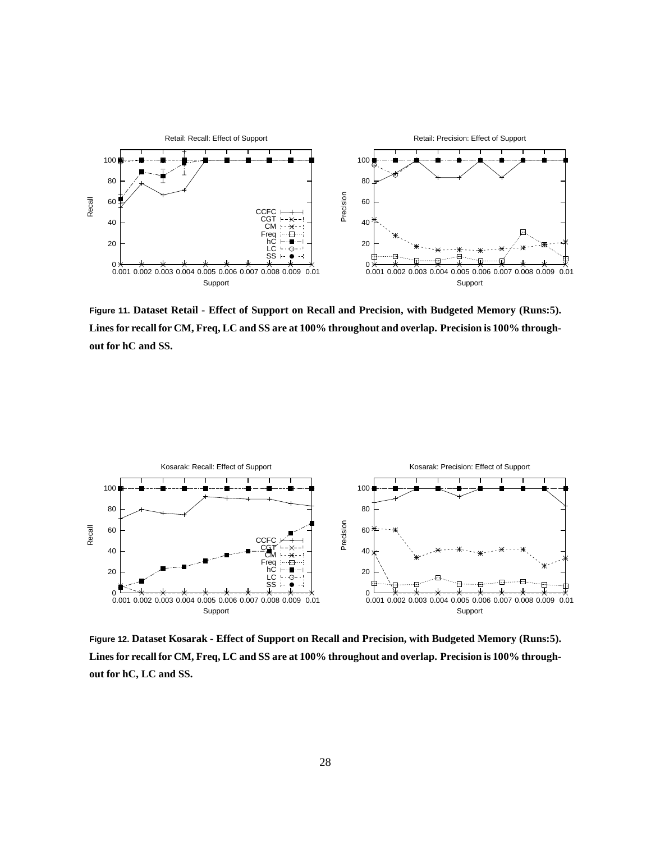

**Figure 11. Dataset Retail - Effect of Support on Recall and Precision, with Budgeted Memory (Runs:5). Lines for recall for CM, Freq, LC and SS are at 100% throughout and overlap. Precision is 100% throughout for hC and SS.**



**Figure 12. Dataset Kosarak - Effect of Support on Recall and Precision, with Budgeted Memory (Runs:5). Lines for recall for CM, Freq, LC and SS are at 100% throughout and overlap. Precision is 100% throughout for hC, LC and SS.**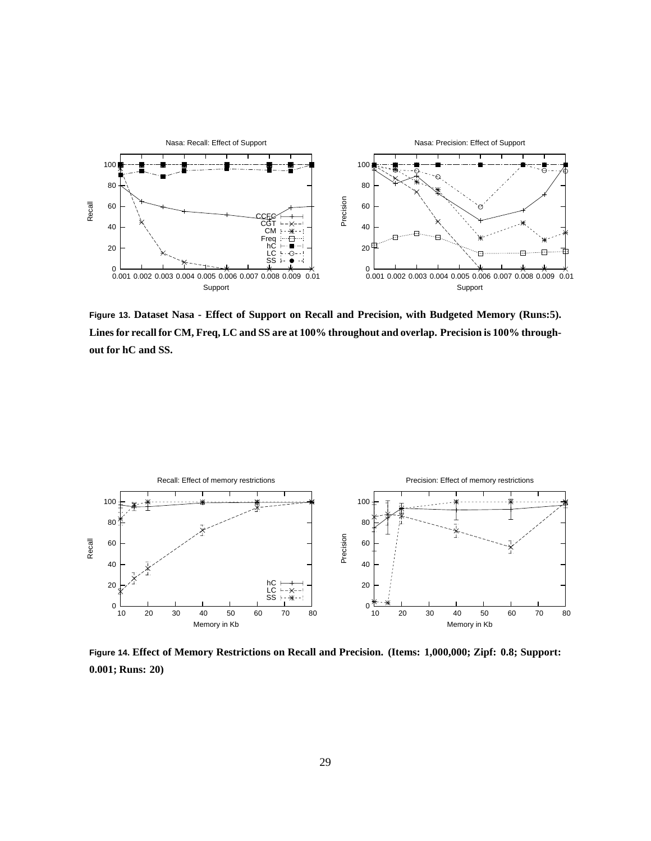

**Figure 13. Dataset Nasa - Effect of Support on Recall and Precision, with Budgeted Memory (Runs:5). Lines for recall for CM, Freq, LC and SS are at 100% throughout and overlap. Precision is 100% throughout for hC and SS.**



**Figure 14. Effect of Memory Restrictions on Recall and Precision. (Items: 1,000,000; Zipf: 0.8; Support: 0.001; Runs: 20)**